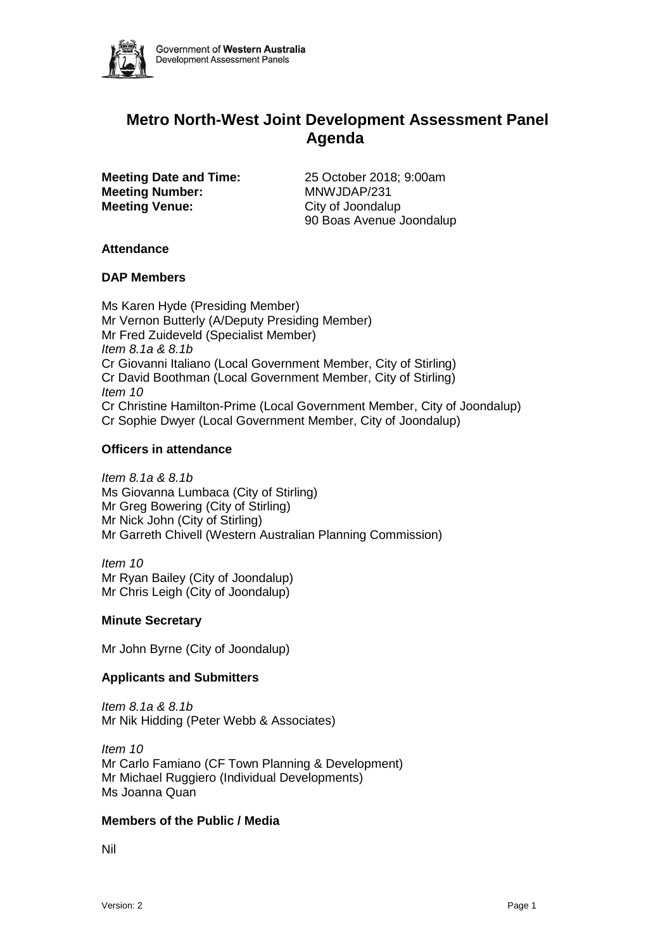

# **Metro North-West Joint Development Assessment Panel Agenda**

**Meeting Number:** MNWJDAP/231 **Meeting Venue:** City of Joondalup

**Meeting Date and Time:** 25 October 2018; 9:00am 90 Boas Avenue Joondalup

#### **Attendance**

#### **DAP Members**

Ms Karen Hyde (Presiding Member) Mr Vernon Butterly (A/Deputy Presiding Member) Mr Fred Zuideveld (Specialist Member) *Item 8.1a & 8.1b* Cr Giovanni Italiano (Local Government Member, City of Stirling) Cr David Boothman (Local Government Member, City of Stirling) *Item 10* Cr Christine Hamilton-Prime (Local Government Member, City of Joondalup) Cr Sophie Dwyer (Local Government Member, City of Joondalup)

#### **Officers in attendance**

*Item 8.1a & 8.1b* Ms Giovanna Lumbaca (City of Stirling) Mr Greg Bowering (City of Stirling) Mr Nick John (City of Stirling) Mr Garreth Chivell (Western Australian Planning Commission)

*Item 10* Mr Ryan Bailey (City of Joondalup) Mr Chris Leigh (City of Joondalup)

# **Minute Secretary**

Mr John Byrne (City of Joondalup)

# **Applicants and Submitters**

*Item 8.1a & 8.1b* Mr Nik Hidding (Peter Webb & Associates)

*Item 10* Mr Carlo Famiano (CF Town Planning & Development) Mr Michael Ruggiero (Individual Developments) Ms Joanna Quan

#### **Members of the Public / Media**

Nil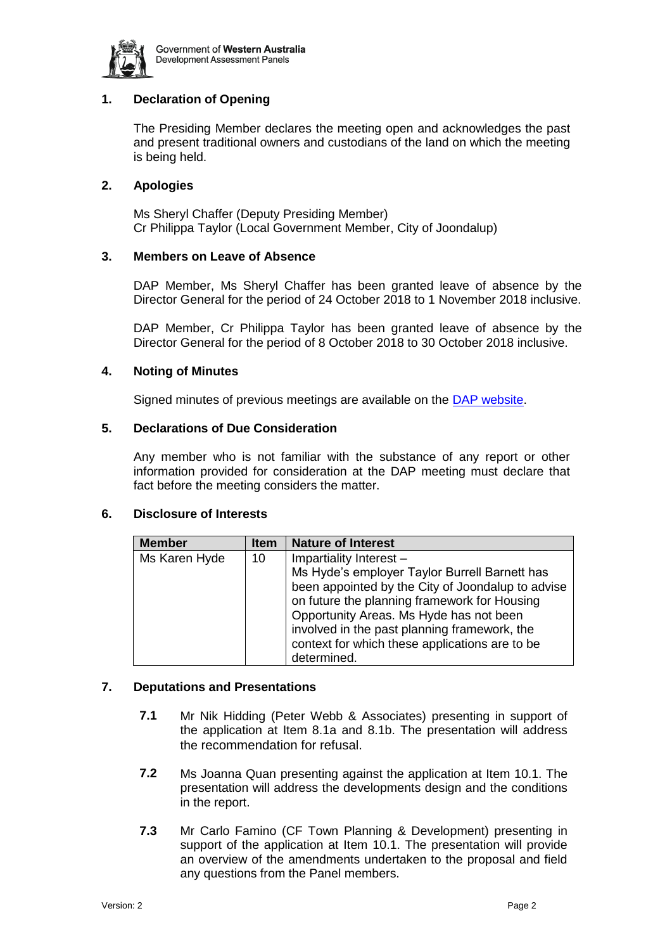

# **1. Declaration of Opening**

The Presiding Member declares the meeting open and acknowledges the past and present traditional owners and custodians of the land on which the meeting is being held.

### **2. Apologies**

Ms Sheryl Chaffer (Deputy Presiding Member) Cr Philippa Taylor (Local Government Member, City of Joondalup)

#### **3. Members on Leave of Absence**

DAP Member, Ms Sheryl Chaffer has been granted leave of absence by the Director General for the period of 24 October 2018 to 1 November 2018 inclusive.

DAP Member, Cr Philippa Taylor has been granted leave of absence by the Director General for the period of 8 October 2018 to 30 October 2018 inclusive.

#### **4. Noting of Minutes**

Signed minutes of previous meetings are available on the [DAP website.](https://www.planning.wa.gov.au/7578.aspx)

#### **5. Declarations of Due Consideration**

Any member who is not familiar with the substance of any report or other information provided for consideration at the DAP meeting must declare that fact before the meeting considers the matter.

#### **6. Disclosure of Interests**

| <b>Member</b> | <b>Item</b> | <b>Nature of Interest</b>                                                                                                                                                                                                                                                                                                  |
|---------------|-------------|----------------------------------------------------------------------------------------------------------------------------------------------------------------------------------------------------------------------------------------------------------------------------------------------------------------------------|
| Ms Karen Hyde | 10          | Impartiality Interest -<br>Ms Hyde's employer Taylor Burrell Barnett has<br>been appointed by the City of Joondalup to advise<br>on future the planning framework for Housing<br>Opportunity Areas. Ms Hyde has not been<br>involved in the past planning framework, the<br>context for which these applications are to be |
|               |             | determined.                                                                                                                                                                                                                                                                                                                |

# **7. Deputations and Presentations**

- **7.1** Mr Nik Hidding (Peter Webb & Associates) presenting in support of the application at Item 8.1a and 8.1b. The presentation will address the recommendation for refusal.
- **7.2** Ms Joanna Quan presenting against the application at Item 10.1. The presentation will address the developments design and the conditions in the report.
- **7.3** Mr Carlo Famino (CF Town Planning & Development) presenting in support of the application at Item 10.1. The presentation will provide an overview of the amendments undertaken to the proposal and field any questions from the Panel members.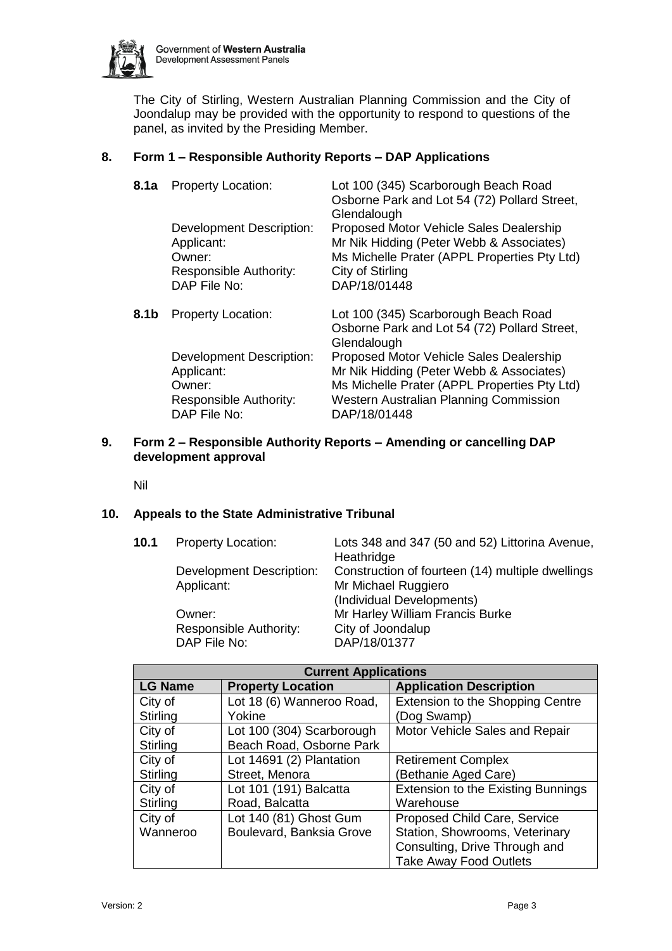

The City of Stirling, Western Australian Planning Commission and the City of Joondalup may be provided with the opportunity to respond to questions of the panel, as invited by the Presiding Member.

# **8. Form 1 – Responsible Authority Reports – DAP Applications**

| 8.1a | <b>Property Location:</b><br><b>Development Description:</b><br>Applicant:<br>Owner:<br>Responsible Authority:<br>DAP File No: | Lot 100 (345) Scarborough Beach Road<br>Osborne Park and Lot 54 (72) Pollard Street,<br>Glendalough<br>Proposed Motor Vehicle Sales Dealership<br>Mr Nik Hidding (Peter Webb & Associates)<br>Ms Michelle Prater (APPL Properties Pty Ltd)<br>City of Stirling<br>DAP/18/01448                              |
|------|--------------------------------------------------------------------------------------------------------------------------------|-------------------------------------------------------------------------------------------------------------------------------------------------------------------------------------------------------------------------------------------------------------------------------------------------------------|
| 8.1b | <b>Property Location:</b><br><b>Development Description:</b><br>Applicant:<br>Owner:<br>Responsible Authority:<br>DAP File No: | Lot 100 (345) Scarborough Beach Road<br>Osborne Park and Lot 54 (72) Pollard Street,<br>Glendalough<br>Proposed Motor Vehicle Sales Dealership<br>Mr Nik Hidding (Peter Webb & Associates)<br>Ms Michelle Prater (APPL Properties Pty Ltd)<br><b>Western Australian Planning Commission</b><br>DAP/18/01448 |

# **9. Form 2 – Responsible Authority Reports – Amending or cancelling DAP development approval**

Nil

# **10. Appeals to the State Administrative Tribunal**

| 10.1 | <b>Property Location:</b>       | Lots 348 and 347 (50 and 52) Littorina Avenue,   |
|------|---------------------------------|--------------------------------------------------|
|      |                                 | Heathridge                                       |
|      | <b>Development Description:</b> | Construction of fourteen (14) multiple dwellings |
|      | Applicant:                      | Mr Michael Ruggiero                              |
|      |                                 | (Individual Developments)                        |
|      | Owner:                          | Mr Harley William Francis Burke                  |
|      | Responsible Authority:          | City of Joondalup                                |
|      | DAP File No:                    | DAP/18/01377                                     |

| <b>Current Applications</b> |                           |                                           |  |  |
|-----------------------------|---------------------------|-------------------------------------------|--|--|
| <b>LG Name</b>              | <b>Property Location</b>  | <b>Application Description</b>            |  |  |
| City of                     | Lot 18 (6) Wanneroo Road, | Extension to the Shopping Centre          |  |  |
| Stirling                    | Yokine                    | (Dog Swamp)                               |  |  |
| City of                     | Lot 100 (304) Scarborough | Motor Vehicle Sales and Repair            |  |  |
| Stirling                    | Beach Road, Osborne Park  |                                           |  |  |
| City of                     | Lot 14691 (2) Plantation  | <b>Retirement Complex</b>                 |  |  |
| Stirling                    | Street, Menora            | (Bethanie Aged Care)                      |  |  |
| City of                     | Lot 101 (191) Balcatta    | <b>Extension to the Existing Bunnings</b> |  |  |
| Stirling                    | Road, Balcatta            | Warehouse                                 |  |  |
| City of                     | Lot 140 (81) Ghost Gum    | Proposed Child Care, Service              |  |  |
| Wanneroo                    | Boulevard, Banksia Grove  | Station, Showrooms, Veterinary            |  |  |
|                             |                           | Consulting, Drive Through and             |  |  |
|                             |                           | <b>Take Away Food Outlets</b>             |  |  |